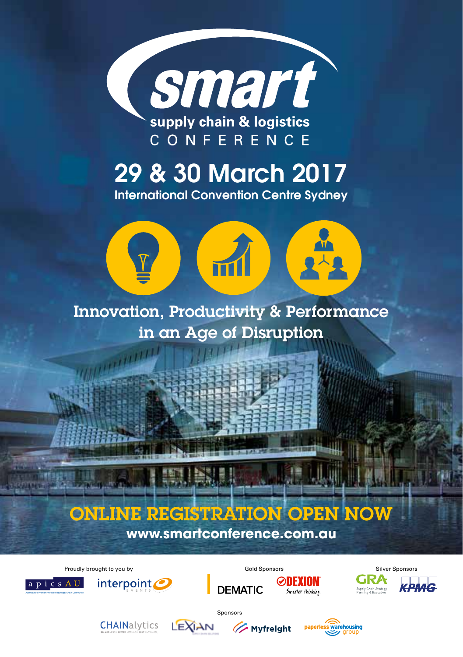

29 & 30 March 2017

International Convention Centre Sydney



#### Innovation, Productivity & Performance in an Age of Disruption

# ONLINE REGISTRATION OPEN NOW

**www.smartconference.com.au**

Proudly brought to you by November 2012 Cold Sponsors Silver Sponsors Silver Sponsors Silver Sponsors Silver Sponsors





**THURS** 



Sponsors

**DEMATIC** 







Supply Chain Strategy,

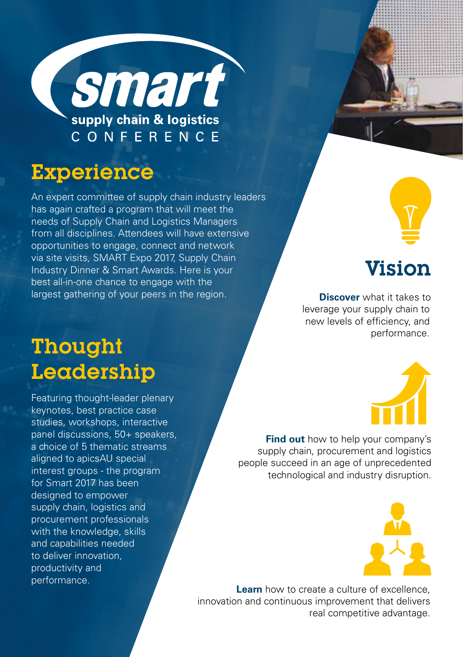

#### Experience

An expert committee of supply chain industry leaders has again crafted a program that will meet the needs of Supply Chain and Logistics Managers from all disciplines. Attendees will have extensive opportunities to engage, connect and network via site visits, SMART Expo 2017, Supply Chain Industry Dinner & Smart Awards. Here is your best all-in-one chance to engage with the largest gathering of your peers in the region.

#### Vision

**Discover** what it takes to leverage your supply chain to new levels of efficiency, and performance.

# Thought Leadership

Featuring thought-leader plenary keynotes, best practice case studies, workshops, interactive panel discussions, 50+ speakers, a choice of 5 thematic streams aligned to apicsAU special interest groups - the program for Smart 2017 has been designed to empower supply chain, logistics and procurement professionals with the knowledge, skills and capabilities needed to deliver innovation, productivity and performance.



**Find out** how to help your company's supply chain, procurement and logistics people succeed in an age of unprecedented technological and industry disruption.



**Learn** how to create a culture of excellence innovation and continuous improvement that delivers real competitive advantage.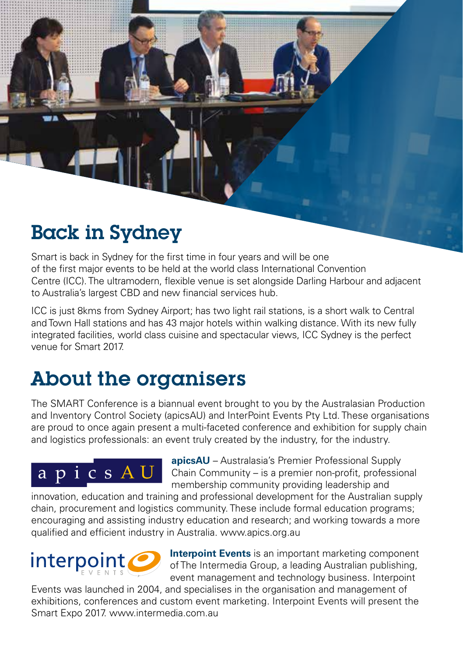### Back in Sydney

Smart is back in Sydney for the first time in four years and will be one of the first major events to be held at the world class International Convention Centre (ICC). The ultramodern, flexible venue is set alongside Darling Harbour and adjacent to Australia's largest CBD and new financial services hub.

ICC is just 8kms from Sydney Airport; has two light rail stations, is a short walk to Central and Town Hall stations and has 43 major hotels within walking distance. With its new fully integrated facilities, world class cuisine and spectacular views, ICC Sydney is the perfect venue for Smart 2017.

### About the organisers

The SMART Conference is a biannual event brought to you by the Australasian Production and Inventory Control Society (apicsAU) and InterPoint Events Pty Ltd. These organisations are proud to once again present a multi-faceted conference and exhibition for supply chain and logistics professionals: an event truly created by the industry, for the industry.

# apicsAU

**apicsAU** – Australasia's Premier Professional Supply Chain Community – is a premier non-profit, professional membership community providing leadership and

innovation, education and training and professional development for the Australian supply chain, procurement and logistics community. These include formal education programs; encouraging and assisting industry education and research; and working towards a more qualified and efficient industry in Australia. www.apics.org.au



**Interpoint Events** is an important marketing component of The Intermedia Group, a leading Australian publishing, event management and technology business. Interpoint

Events was launched in 2004, and specialises in the organisation and management of exhibitions, conferences and custom event marketing. Interpoint Events will present the Smart Expo 2017. www.intermedia.com.au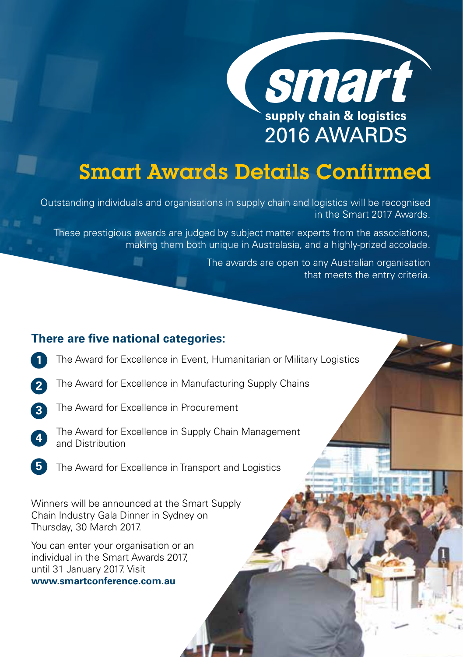

### Smart Awards Details Confirmed

Outstanding individuals and organisations in supply chain and logistics will be recognised in the Smart 2017 Awards.

These prestigious awards are judged by subject matter experts from the associations, making them both unique in Australasia, and a highly-prized accolade.

> The awards are open to any Australian organisation that meets the entry criteria.

#### **There are five national categories:**

甜

- The Award for Excellence in Event, Humanitarian or Military Logistics **1**
- The Award for Excellence in Manufacturing Supply Chains **2**
- The Award for Excellence in Procurement **3**
- The Award for Excellence in Supply Chain Management and Distribution **4**
- The Award for Excellence in Transport and Logistics **5**

Winners will be announced at the Smart Supply Chain Industry Gala Dinner in Sydney on Thursday, 30 March 2017.

You can enter your organisation or an individual in the Smart Awards 2017, until 31 January 2017. Visit

**www.smartconference.com.au**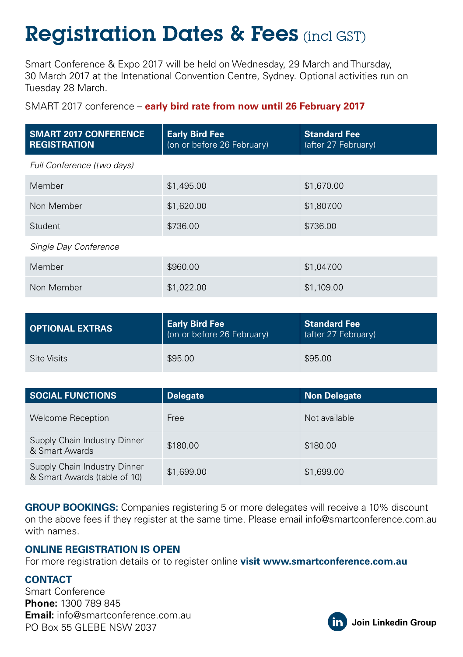# Registration Dates & Fees (incl GST)

Smart Conference & Expo 2017 will be held on Wednesday, 29 March and Thursday, 30 March 2017 at the Intenational Convention Centre, Sydney. Optional activities run on Tuesday 28 March.

SMART 2017 conference – **early bird rate from now until 26 February 2017**

| <b>SMART 2017 CONFERENCE</b><br><b>REGISTRATION</b> | <b>Early Bird Fee</b><br>(on or before 26 February) | <b>Standard Fee</b><br>(after 27 February) |
|-----------------------------------------------------|-----------------------------------------------------|--------------------------------------------|
| Full Conference (two days)                          |                                                     |                                            |
| Member                                              | \$1,495.00                                          | \$1,670.00                                 |
| Non Member                                          | \$1,620.00                                          | \$1,807.00                                 |
| Student                                             | \$736.00                                            | \$736.00                                   |
| Single Day Conference                               |                                                     |                                            |
| Member                                              | \$960.00                                            | \$1,047.00                                 |
| Non Member                                          | \$1,022.00                                          | \$1,109.00                                 |

| <b>OPTIONAL EXTRAS</b> | <b>Early Bird Fee</b><br>(on or before 26 February) | Standard Fee<br>(after 27 February) |
|------------------------|-----------------------------------------------------|-------------------------------------|
| Site Visits            | \$95.00                                             | \$95.00                             |

| <b>SOCIAL FUNCTIONS</b>                                      | <b>Delegate</b> | Non Delegate  |
|--------------------------------------------------------------|-----------------|---------------|
| <b>Welcome Reception</b>                                     | Free            | Not available |
| Supply Chain Industry Dinner<br>& Smart Awards               | \$180.00        | \$180.00      |
| Supply Chain Industry Dinner<br>& Smart Awards (table of 10) | \$1,699.00      | \$1,699.00    |

**GROUP BOOKINGS:** Companies registering 5 or more delegates will receive a 10% discount on the above fees if they register at the same time. Please email info@smartconference.com.au with names.

#### **ONLINE REGISTRATION IS OPEN**

For more registration details or to register online **visit www.smartconference.com.au**

#### **CONTACT**

Smart Conference **Phone:** 1300 789 845 **Email:** info@smartconference.com.au PO Box 55 GLEBE NSW 2037